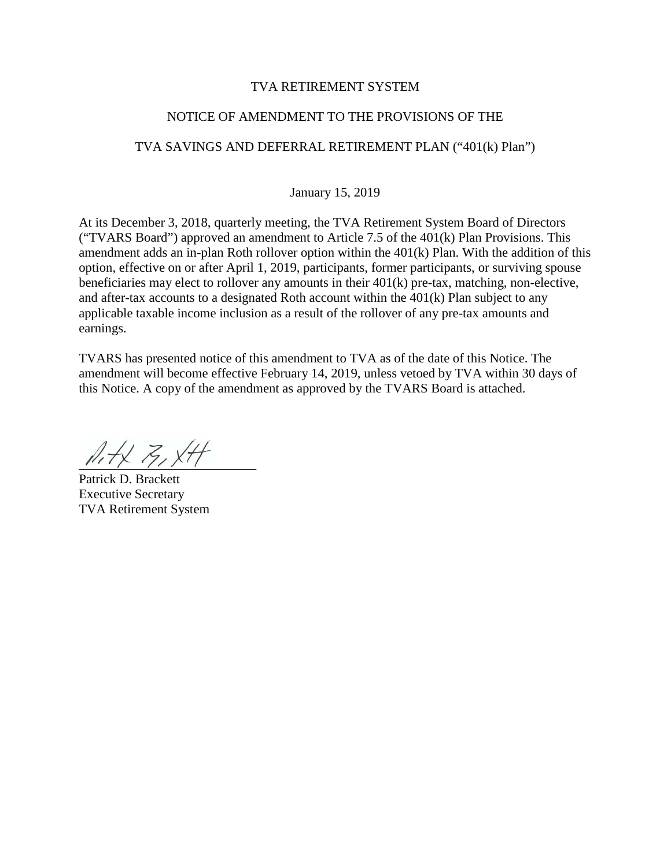### TVA RETIREMENT SYSTEM

### NOTICE OF AMENDMENT TO THE PROVISIONS OF THE

## TVA SAVINGS AND DEFERRAL RETIREMENT PLAN ("401(k) Plan")

January 15, 2019

At its December 3, 2018, quarterly meeting, the TVA Retirement System Board of Directors ("TVARS Board") approved an amendment to Article 7.5 of the 401(k) Plan Provisions. This amendment adds an in-plan Roth rollover option within the 401(k) Plan. With the addition of this option, effective on or after April 1, 2019, participants, former participants, or surviving spouse beneficiaries may elect to rollover any amounts in their 401(k) pre-tax, matching, non-elective, and after-tax accounts to a designated Roth account within the 401(k) Plan subject to any applicable taxable income inclusion as a result of the rollover of any pre-tax amounts and earnings.

TVARS has presented notice of this amendment to TVA as of the date of this Notice. The amendment will become effective February 14, 2019, unless vetoed by TVA within 30 days of this Notice. A copy of the amendment as approved by the TVARS Board is attached.

 $\mathbb{A}$  + x = x + +

Patrick D. Brackett Executive Secretary TVA Retirement System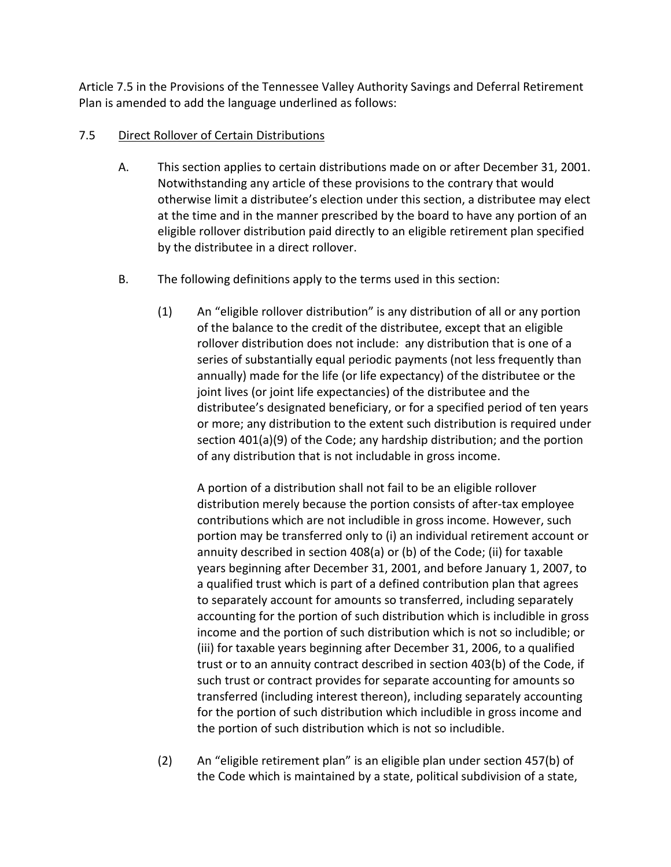Article 7.5 in the Provisions of the Tennessee Valley Authority Savings and Deferral Retirement Plan is amended to add the language underlined as follows:

# 7.5 Direct Rollover of Certain Distributions

- A. This section applies to certain distributions made on or after December 31, 2001. Notwithstanding any article of these provisions to the contrary that would otherwise limit a distributee's election under this section, a distributee may elect at the time and in the manner prescribed by the board to have any portion of an eligible rollover distribution paid directly to an eligible retirement plan specified by the distributee in a direct rollover.
- B. The following definitions apply to the terms used in this section:
	- (1) An "eligible rollover distribution" is any distribution of all or any portion of the balance to the credit of the distributee, except that an eligible rollover distribution does not include: any distribution that is one of a series of substantially equal periodic payments (not less frequently than annually) made for the life (or life expectancy) of the distributee or the joint lives (or joint life expectancies) of the distributee and the distributee's designated beneficiary, or for a specified period of ten years or more; any distribution to the extent such distribution is required under section 401(a)(9) of the Code; any hardship distribution; and the portion of any distribution that is not includable in gross income.

A portion of a distribution shall not fail to be an eligible rollover distribution merely because the portion consists of after-tax employee contributions which are not includible in gross income. However, such portion may be transferred only to (i) an individual retirement account or annuity described in section 408(a) or (b) of the Code; (ii) for taxable years beginning after December 31, 2001, and before January 1, 2007, to a qualified trust which is part of a defined contribution plan that agrees to separately account for amounts so transferred, including separately accounting for the portion of such distribution which is includible in gross income and the portion of such distribution which is not so includible; or (iii) for taxable years beginning after December 31, 2006, to a qualified trust or to an annuity contract described in section 403(b) of the Code, if such trust or contract provides for separate accounting for amounts so transferred (including interest thereon), including separately accounting for the portion of such distribution which includible in gross income and the portion of such distribution which is not so includible.

(2) An "eligible retirement plan" is an eligible plan under section 457(b) of the Code which is maintained by a state, political subdivision of a state,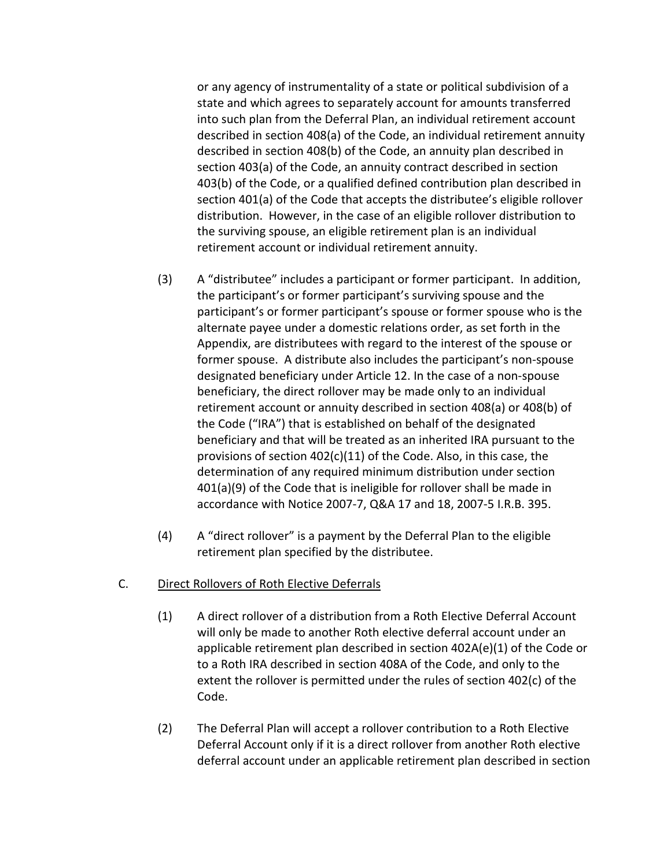or any agency of instrumentality of a state or political subdivision of a state and which agrees to separately account for amounts transferred into such plan from the Deferral Plan, an individual retirement account described in section 408(a) of the Code, an individual retirement annuity described in section 408(b) of the Code, an annuity plan described in section 403(a) of the Code, an annuity contract described in section 403(b) of the Code, or a qualified defined contribution plan described in section 401(a) of the Code that accepts the distributee's eligible rollover distribution. However, in the case of an eligible rollover distribution to the surviving spouse, an eligible retirement plan is an individual retirement account or individual retirement annuity.

- (3) A "distributee" includes a participant or former participant. In addition, the participant's or former participant's surviving spouse and the participant's or former participant's spouse or former spouse who is the alternate payee under a domestic relations order, as set forth in the Appendix, are distributees with regard to the interest of the spouse or former spouse. A distribute also includes the participant's non-spouse designated beneficiary under Article 12. In the case of a non-spouse beneficiary, the direct rollover may be made only to an individual retirement account or annuity described in section 408(a) or 408(b) of the Code ("IRA") that is established on behalf of the designated beneficiary and that will be treated as an inherited IRA pursuant to the provisions of section 402(c)(11) of the Code. Also, in this case, the determination of any required minimum distribution under section 401(a)(9) of the Code that is ineligible for rollover shall be made in accordance with Notice 2007-7, Q&A 17 and 18, 2007-5 I.R.B. 395.
- (4) A "direct rollover" is a payment by the Deferral Plan to the eligible retirement plan specified by the distributee.

## C. Direct Rollovers of Roth Elective Deferrals

- (1) A direct rollover of a distribution from a Roth Elective Deferral Account will only be made to another Roth elective deferral account under an applicable retirement plan described in section 402A(e)(1) of the Code or to a Roth IRA described in section 408A of the Code, and only to the extent the rollover is permitted under the rules of section 402(c) of the Code.
- (2) The Deferral Plan will accept a rollover contribution to a Roth Elective Deferral Account only if it is a direct rollover from another Roth elective deferral account under an applicable retirement plan described in section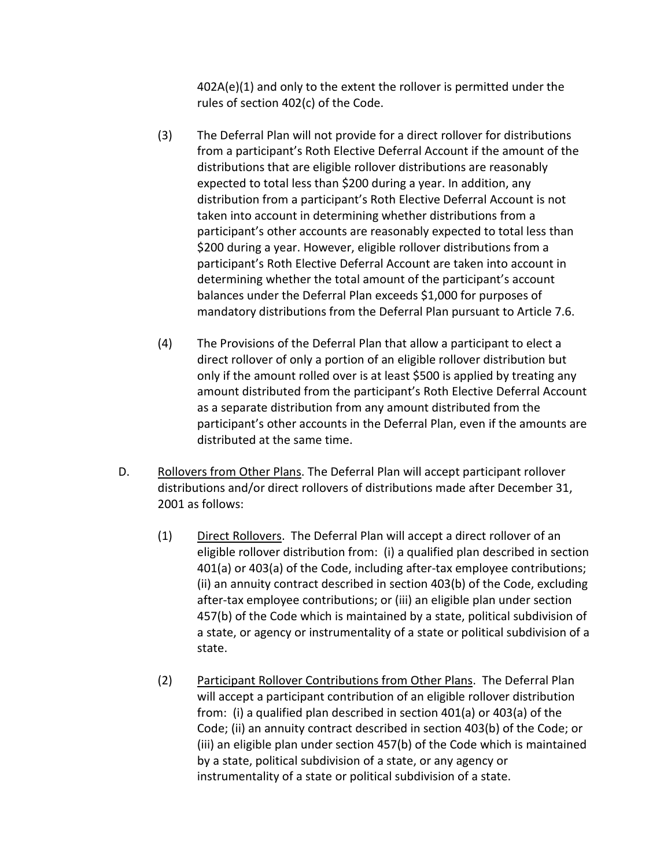402A(e)(1) and only to the extent the rollover is permitted under the rules of section 402(c) of the Code.

- (3) The Deferral Plan will not provide for a direct rollover for distributions from a participant's Roth Elective Deferral Account if the amount of the distributions that are eligible rollover distributions are reasonably expected to total less than \$200 during a year. In addition, any distribution from a participant's Roth Elective Deferral Account is not taken into account in determining whether distributions from a participant's other accounts are reasonably expected to total less than \$200 during a year. However, eligible rollover distributions from a participant's Roth Elective Deferral Account are taken into account in determining whether the total amount of the participant's account balances under the Deferral Plan exceeds \$1,000 for purposes of mandatory distributions from the Deferral Plan pursuant to Article 7.6.
- (4) The Provisions of the Deferral Plan that allow a participant to elect a direct rollover of only a portion of an eligible rollover distribution but only if the amount rolled over is at least \$500 is applied by treating any amount distributed from the participant's Roth Elective Deferral Account as a separate distribution from any amount distributed from the participant's other accounts in the Deferral Plan, even if the amounts are distributed at the same time.
- D. Rollovers from Other Plans. The Deferral Plan will accept participant rollover distributions and/or direct rollovers of distributions made after December 31, 2001 as follows:
	- (1) Direct Rollovers. The Deferral Plan will accept a direct rollover of an eligible rollover distribution from: (i) a qualified plan described in section 401(a) or 403(a) of the Code, including after-tax employee contributions; (ii) an annuity contract described in section 403(b) of the Code, excluding after-tax employee contributions; or (iii) an eligible plan under section 457(b) of the Code which is maintained by a state, political subdivision of a state, or agency or instrumentality of a state or political subdivision of a state.
	- (2) Participant Rollover Contributions from Other Plans. The Deferral Plan will accept a participant contribution of an eligible rollover distribution from: (i) a qualified plan described in section 401(a) or 403(a) of the Code; (ii) an annuity contract described in section 403(b) of the Code; or (iii) an eligible plan under section 457(b) of the Code which is maintained by a state, political subdivision of a state, or any agency or instrumentality of a state or political subdivision of a state.